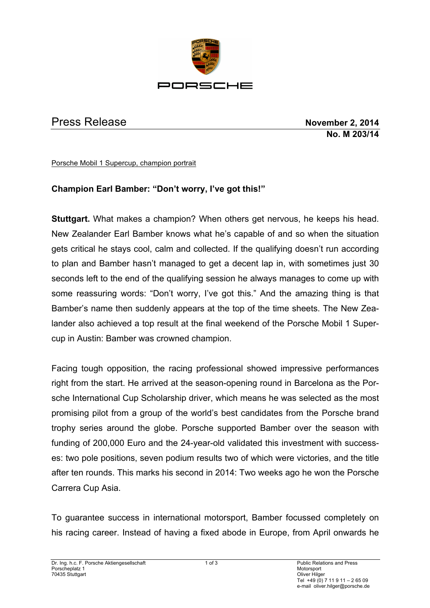

## Press Release **November 2, 2014**

**No. M 203/14**

Porsche Mobil 1 Supercup, champion portrait

## **Champion Earl Bamber: "Don't worry, I've got this!"**

**Stuttgart.** What makes a champion? When others get nervous, he keeps his head. New Zealander Earl Bamber knows what he's capable of and so when the situation gets critical he stays cool, calm and collected. If the qualifying doesn't run according to plan and Bamber hasn't managed to get a decent lap in, with sometimes just 30 seconds left to the end of the qualifying session he always manages to come up with some reassuring words: "Don't worry, I've got this." And the amazing thing is that Bamber's name then suddenly appears at the top of the time sheets. The New Zealander also achieved a top result at the final weekend of the Porsche Mobil 1 Supercup in Austin: Bamber was crowned champion.

Facing tough opposition, the racing professional showed impressive performances right from the start. He arrived at the season-opening round in Barcelona as the Porsche International Cup Scholarship driver, which means he was selected as the most promising pilot from a group of the world's best candidates from the Porsche brand trophy series around the globe. Porsche supported Bamber over the season with funding of 200,000 Euro and the 24-year-old validated this investment with successes: two pole positions, seven podium results two of which were victories, and the title after ten rounds. This marks his second in 2014: Two weeks ago he won the Porsche Carrera Cup Asia.

To guarantee success in international motorsport, Bamber focussed completely on his racing career. Instead of having a fixed abode in Europe, from April onwards he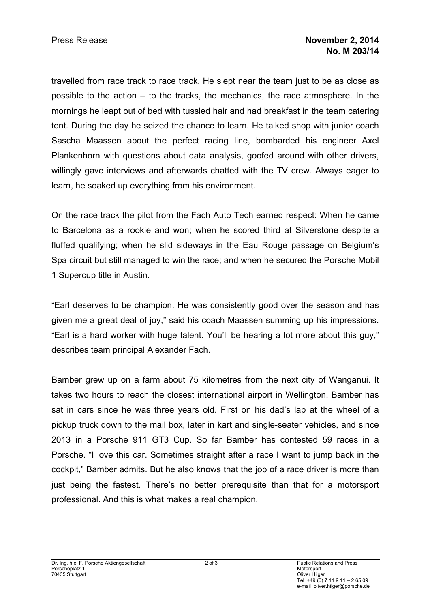travelled from race track to race track. He slept near the team just to be as close as possible to the action – to the tracks, the mechanics, the race atmosphere. In the mornings he leapt out of bed with tussled hair and had breakfast in the team catering tent. During the day he seized the chance to learn. He talked shop with junior coach Sascha Maassen about the perfect racing line, bombarded his engineer Axel Plankenhorn with questions about data analysis, goofed around with other drivers, willingly gave interviews and afterwards chatted with the TV crew. Always eager to learn, he soaked up everything from his environment.

On the race track the pilot from the Fach Auto Tech earned respect: When he came to Barcelona as a rookie and won; when he scored third at Silverstone despite a fluffed qualifying; when he slid sideways in the Eau Rouge passage on Belgium's Spa circuit but still managed to win the race; and when he secured the Porsche Mobil 1 Supercup title in Austin.

"Earl deserves to be champion. He was consistently good over the season and has given me a great deal of joy," said his coach Maassen summing up his impressions. "Earl is a hard worker with huge talent. You'll be hearing a lot more about this guy," describes team principal Alexander Fach.

Bamber grew up on a farm about 75 kilometres from the next city of Wanganui. It takes two hours to reach the closest international airport in Wellington. Bamber has sat in cars since he was three years old. First on his dad's lap at the wheel of a pickup truck down to the mail box, later in kart and single-seater vehicles, and since 2013 in a Porsche 911 GT3 Cup. So far Bamber has contested 59 races in a Porsche. "I love this car. Sometimes straight after a race I want to jump back in the cockpit," Bamber admits. But he also knows that the job of a race driver is more than just being the fastest. There's no better prerequisite than that for a motorsport professional. And this is what makes a real champion.